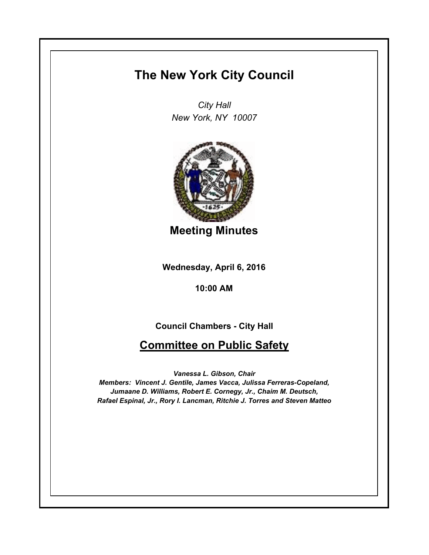## **The New York City Council**

*City Hall New York, NY 10007*



**Meeting Minutes**

**Wednesday, April 6, 2016**

**10:00 AM**

**Council Chambers - City Hall**

**Committee on Public Safety**

*Vanessa L. Gibson, Chair Members: Vincent J. Gentile, James Vacca, Julissa Ferreras-Copeland, Jumaane D. Williams, Robert E. Cornegy, Jr., Chaim M. Deutsch, Rafael Espinal, Jr., Rory I. Lancman, Ritchie J. Torres and Steven Matteo*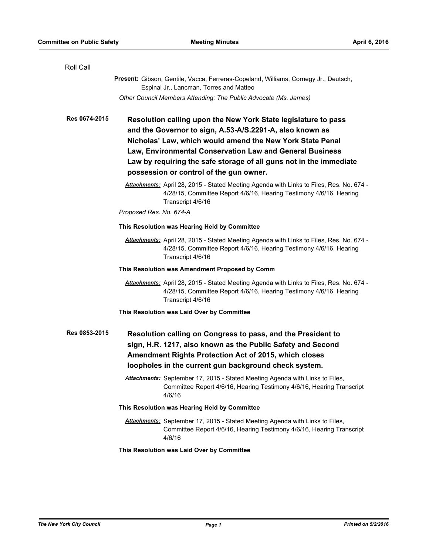| Roll Call     |                                                                                                                                                                                                                                                                                                                                                                      |
|---------------|----------------------------------------------------------------------------------------------------------------------------------------------------------------------------------------------------------------------------------------------------------------------------------------------------------------------------------------------------------------------|
|               | Present: Gibson, Gentile, Vacca, Ferreras-Copeland, Williams, Cornegy Jr., Deutsch,<br>Espinal Jr., Lancman, Torres and Matteo                                                                                                                                                                                                                                       |
|               | Other Council Members Attending: The Public Advocate (Ms. James)                                                                                                                                                                                                                                                                                                     |
| Res 0674-2015 | Resolution calling upon the New York State legislature to pass<br>and the Governor to sign, A.53-A/S.2291-A, also known as<br>Nicholas' Law, which would amend the New York State Penal<br>Law, Environmental Conservation Law and General Business<br>Law by requiring the safe storage of all guns not in the immediate<br>possession or control of the gun owner. |
|               | Attachments: April 28, 2015 - Stated Meeting Agenda with Links to Files, Res. No. 674 -<br>4/28/15, Committee Report 4/6/16, Hearing Testimony 4/6/16, Hearing<br>Transcript 4/6/16                                                                                                                                                                                  |
|               | Proposed Res. No. 674-A                                                                                                                                                                                                                                                                                                                                              |
|               | This Resolution was Hearing Held by Committee                                                                                                                                                                                                                                                                                                                        |
|               | Attachments: April 28, 2015 - Stated Meeting Agenda with Links to Files, Res. No. 674 -<br>4/28/15, Committee Report 4/6/16, Hearing Testimony 4/6/16, Hearing<br>Transcript 4/6/16                                                                                                                                                                                  |
|               | This Resolution was Amendment Proposed by Comm                                                                                                                                                                                                                                                                                                                       |
|               | Attachments: April 28, 2015 - Stated Meeting Agenda with Links to Files, Res. No. 674 -<br>4/28/15, Committee Report 4/6/16, Hearing Testimony 4/6/16, Hearing<br>Transcript 4/6/16                                                                                                                                                                                  |
|               | This Resolution was Laid Over by Committee                                                                                                                                                                                                                                                                                                                           |
| Res 0853-2015 | Resolution calling on Congress to pass, and the President to<br>sign, H.R. 1217, also known as the Public Safety and Second<br>Amendment Rights Protection Act of 2015, which closes<br>loopholes in the current gun background check system.                                                                                                                        |
|               | Attachments: September 17, 2015 - Stated Meeting Agenda with Links to Files,<br>Committee Report 4/6/16, Hearing Testimony 4/6/16, Hearing Transcript<br>4/6/16                                                                                                                                                                                                      |
|               | This Resolution was Hearing Held by Committee                                                                                                                                                                                                                                                                                                                        |
|               | Attachments: September 17, 2015 - Stated Meeting Agenda with Links to Files,<br>Committee Report 4/6/16, Hearing Testimony 4/6/16, Hearing Transcript<br>4/6/16                                                                                                                                                                                                      |
|               | This Resolution was Laid Over by Committee                                                                                                                                                                                                                                                                                                                           |
|               |                                                                                                                                                                                                                                                                                                                                                                      |